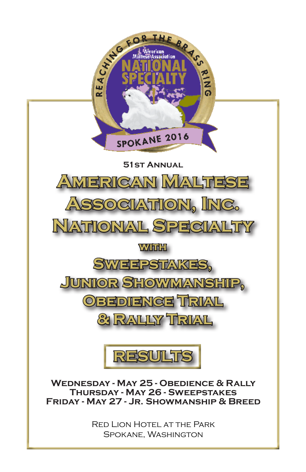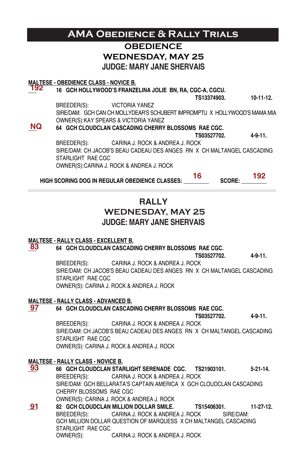### **OBEDIENCE WEDNESDAY, MAY 25 JUDGE: MARY JANE SHERVAIS MALTESE - OBEDIENCE CLASS - NOVICE B. \_\_\_ 16 GCH HOLLYWOOD'S FRANZELINA JOLIE BN, RA, CGC-A, CGCU. TS13374903. 10-11-12.** BREEDER(S): VICTORIA YANEZ SIRE/DAM: GCH CAN CH MOLLYDEAR'S SCHUBERT IMPROMPTU X HOLLYWOOD'S MAMA MIA OWNER(S):KAY SPEARS & VICTORIA YANEZ **\_\_\_ 64 GCH CLOUDCLAN CASCADING CHERRY BLOSSOMS RAE CGC. TS03527702. 4-9-11. BREEDER(S):** CARINA J. ROCK & ANDREA J. ROCK **ANDREA** CARINA J. ROCK & ANDREA J. ROCK SIRE/DAM: CH JACOB'S BEAU CADEAU DES ANGES RN X CH MALTANGEL CASCADING STARLIGHT RAE CGC OWNER(S):CARINA J. ROCK & ANDREA J. ROCK HIGH SCORING DOG IN REGULAR OBEDIENCE CLASSES: \_\_\_\_\_\_\_\_\_\_ SCORE: \_\_\_\_\_\_\_\_ **RALLY WEDNESDAY, MAY 25 JUDGE: MARY JANE SHERVAIS MALTESE - RALLY CLASS - EXCELLENT B.** **\_\_\_ 64 GCH CLOUDCLAN CASCADING CHERRY BLOSSOMS RAE CGC. TS03527702. 4-9-11.** BREEDER(S): CARINA J. ROCK & ANDREA J. ROCK SIRE/DAM: CH JACOB'S BEAU CADEAU DES ANGES RN X CH MALTANGEL CASCADING STARLIGHT RAF CGC OWNER(S): CARINA J. ROCK & ANDREA J. ROCK **MALTESE - RALLY CLASS - ADVANCED B. \_\_\_ 64 GCH CLOUDCLAN CASCADING CHERRY BLOSSOMS RAE CGC. TS03527702. 4-9-11.** BREEDER(S): CARINA J. ROCK & ANDREA J. ROCK SIRE/DAM: CH JACOB'S BEAU CADEAU DES ANGES RN X CH MALTANGEL CASCADING STARLIGHT RAE CGC OWNER(S): CARINA J. ROCK & ANDREA J. ROCK **MALTESE - RALLY CLASS - NOVICE B. \_\_\_ 66 GCH CLOUDCLAN STARLIGHT SERENADE CGC. TS21903101. 5-21-14.** BREEDER(S): CARINA J. ROCK & ANDREA J. ROCK SIRE/DAM: GCH BELLARATA'S CAPTAIN AMERICA X GCH CLOUDCLAN CASCADING CHERRY BLOSSOMS RAE CGC OWNER(S): CARINA J. ROCK & ANDREA J. ROCK **\_\_\_ 82 GCH CLOUDCLAN MILLION DOLLAR SMILE. TS15406301. 11-27-12. AMA Obedience & Rally Trials 192 NQ 83 97 93 91**

BREEDER(S): CARINA J. ROCK & ANDREA J. ROCK SIRE/DAM: GCH MILLION DOLLAR QUESTION OF MARQUESS X CH MALTANGEL CASCADING STARLIGHT RAE CGC OWNER(S): CARINA J. ROCK & ANDREA J. ROCK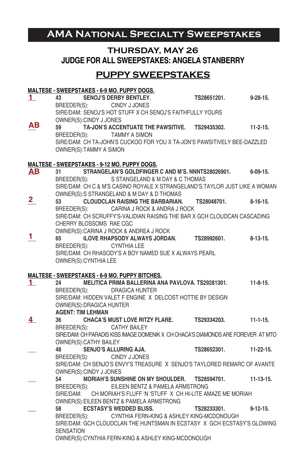# **AMA National Specialty Sweepstakes**

## **THURSDAY, MAY 26 JUDGE FOR ALL SWEEPSTAKES: ANGELA STANBERRY**

## **PUPPY SWEEPSTAKES**

|                         | <b>MALTESE - SWEEPSTAKES - 6-9 MO. PUPPY DOGS.</b>                                                                      |                                 |             |                 |
|-------------------------|-------------------------------------------------------------------------------------------------------------------------|---------------------------------|-------------|-----------------|
| 1.                      | 43 SENOJ'S DERBY BENTLEY.                                                                                               |                                 | TS28651201. | $9 - 28 - 15$ . |
|                         | BREEDER(S): CINDY J JONES                                                                                               |                                 |             |                 |
|                         | SIRE/DAM: SENOJ'S HOT STUFF X CH SENOJ'S FAITHFULLY YOURS                                                               |                                 |             |                 |
|                         | OWNER(S): CINDY J JONES                                                                                                 |                                 |             |                 |
| AВ                      | TA-JON'S ACCENTUATE THE PAWSITIVE. TS29435302. 11-2-15.<br>59                                                           |                                 |             |                 |
|                         | BREEDER(S): TAMMY A SIMON                                                                                               |                                 |             |                 |
|                         | SIRE/DAM: CH TA-JOHN'S CUCKOO FOR YOU X TA-JON'S PAWSITIVELY BEE-DAZZLED                                                |                                 |             |                 |
|                         | OWNER(S):TAMMY A SIMON                                                                                                  |                                 |             |                 |
|                         |                                                                                                                         |                                 |             |                 |
|                         | <b>MALTESE - SWEEPSTAKES - 9-12 MO. PUPPY DOGS.</b><br>STRANGELAN'S GOLDFINGER C AND M'S. NNNTS28026901. 6-09-15.<br>31 |                                 |             |                 |
| <u>АВ</u>               | BREEDER(S):                                                                                                             | S STANGELAND & M DAY & C THOMAS |             |                 |
|                         | SIRE/DAM: CH C & M'S CASINO ROYALE X STRANGELAND'S.TAYLOR JUST LIKE A WOMAN                                             |                                 |             |                 |
|                         | OWNER(S):S STRANGELAND & M DAY & D THOMAS                                                                               |                                 |             |                 |
| $\overline{\mathbf{2}}$ | CLOUDCLAN RAISING THE BARBARIAN. TS28048701. 8-16-15.<br>53                                                             |                                 |             |                 |
|                         | BREEDER(S):                                                                                                             | CARINA J ROCK & ANDRA J ROCK    |             |                 |
|                         | SIRE/DAM: CH SCRUFFY'S-VALIDIAN RAISING THE BAR X GCH CLOUDCAN CASCADING                                                |                                 |             |                 |
|                         | CHERRY BLOSSOMS RAE CGC                                                                                                 |                                 |             |                 |
|                         | OWNER(S): CARINA J ROCK & ANDREA J ROCK                                                                                 |                                 |             |                 |
| 1.                      | ILOVE RHAPSODY ALWAYS JORDAN. TS28992601.<br>65                                                                         |                                 |             | $8-13-15$       |
|                         | CYNTHIA LEE<br>BREEDER(S):                                                                                              |                                 |             |                 |
|                         | SIRE/DAM: CH RHASODY'S A BOY NAMED SUE X ALWAYS PEARL                                                                   |                                 |             |                 |
|                         | OWNER(S): CYNTHIA LEE                                                                                                   |                                 |             |                 |
|                         |                                                                                                                         |                                 |             |                 |
|                         | <b>MALTESE - SWEEPSTAKES - 6-9 MO. PUPPY BITCHES.</b>                                                                   |                                 |             |                 |
| 1.                      | 24 7 1<br>MELITICA PRIMA BALLERINA ANA PAVLOVA, TS29281301.                                                             |                                 |             | $11-8-15.$      |
|                         | BREEDER(S): DRAGICA HUNTER                                                                                              |                                 |             |                 |
|                         | SIRE/DAM: HIDDEN VALET F ENGINE X DELCOST HOTTIE BY DESIGN                                                              |                                 |             |                 |
|                         | OWNER(S): DRAGICA HUNTER                                                                                                |                                 |             |                 |
|                         |                                                                                                                         |                                 |             |                 |
| 4                       | <b>AGENT: TIM LEHMAN</b>                                                                                                |                                 |             |                 |
|                         | CHACA'S MUST LOVE RITZY FLARE. TS29334203.<br>36                                                                        |                                 |             | $11 - 1 - 15.$  |
|                         | BREEDER(S): CATHY BAILEY                                                                                                |                                 |             |                 |
|                         | SIRE/DAM: CH PARADIS KISS IMAGE DOMENIK X CH CHACA'S DIAMONDS ARE FOREVER AT MTO                                        |                                 |             |                 |
|                         | OWNER(S): CATHY BAILEY                                                                                                  |                                 |             |                 |
|                         | <b>SENJO'S ALLURING AJA.</b><br>48                                                                                      |                                 | TS28652301. | 11-22-15.       |
|                         | BREEDER(S): CINDY J JONES                                                                                               |                                 |             |                 |
|                         | SIRE/DAM: CH SENJO'S ENVY'S TREASURE X SENJO'S TAYLORED REMARC OF AVANTE                                                |                                 |             |                 |
|                         | OWNER(S): CINDY J JONES<br>54                                                                                           |                                 |             | $11-13-15.$     |
|                         | MORIAH'S SUNSHINE ON MY SHOULDER. TS28594701.<br>BREEDER(S): EILEEN BENTZ & PAMELA ARMSTRONG                            |                                 |             |                 |
|                         | SIRE/DAM: CH MORIAH'S FLUFF 'N 'STUFF X CH HI-LITE AMAZE ME MORIAH                                                      |                                 |             |                 |
|                         | OWNER(S): EILEEN BENTZ & PAMELA ARMSTRONG                                                                               |                                 |             |                 |
|                         | <b>ECSTASY'S WEDDED BLISS.</b><br>58                                                                                    |                                 | TS28233301. | $9 - 12 - 15$ . |
|                         | BREEDER(S): CYNTHIA FERN-KING & ASHLEY KING-MCDONOUGH                                                                   |                                 |             |                 |
|                         | SIRE/DAM: GCH CLOUDCLAN THE HUNTSMAN IN ECSTASY X GCH ECSTASY'S GLOWING                                                 |                                 |             |                 |
|                         | <b>SENSATION</b>                                                                                                        |                                 |             |                 |
|                         | OWNER(S): CYNTHIA FERN-KING & ASHLEY KING-MCDONOUGH                                                                     |                                 |             |                 |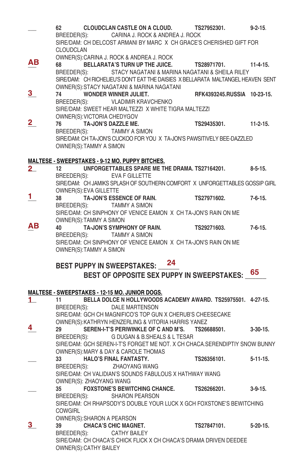|                         | 62<br>CLOUDCLAN                             | <b>CLOUDCLAN CASTLE ON A CLOUD.</b><br>BREEDER(S): CARINA J. ROCK & ANDREA J. ROCK                                                             | TS27952301.<br>SIRE/DAM: CH DELCOST ARMANI BY MARC X CH GRACE'S CHERISHED GIFT FOR                                                                                                                     | $9 - 2 - 15$ .  |
|-------------------------|---------------------------------------------|------------------------------------------------------------------------------------------------------------------------------------------------|--------------------------------------------------------------------------------------------------------------------------------------------------------------------------------------------------------|-----------------|
| ΑВ                      | 68                                          | OWNER(S): CARINA J. ROCK & ANDREA J. ROCK                                                                                                      | BELLARATA'S TURN UP THE JUICE. TS28971701. 11-4-15.<br>BREEDER(S): STACY NAGATANI & MARINA NAGATANI & SHEILA RILEY<br>SIRE/DAM: CH RICHELIEU'S DON'T EAT THE DAISIES X BELLARATA MALTANGEL HEAVEN SENT |                 |
| 3                       | 74<br>BREEDER(S):                           | OWNER(S):STACY NAGATANI & MARINA NAGATANI<br><b>WONDER WINNER JULIET.</b><br>VLADIMIR KRAVCHENKO                                               | RFK4393245.RUSSIA 10-23-15.                                                                                                                                                                            |                 |
| $\overline{\mathbf{2}}$ | 76                                          | SIRE/DAM: SWEET HEAR MALTEZZI X WHITE TIGRA MALTEZZI<br>OWNER(S): VICTORIA CHEDYGOV<br><b>TA-JON'S DAZZLE ME.</b><br>BREEDER(S): TAMMY A SIMON | TS29435301. 11-2-15.<br>SIRE/DAM: CH TA JON'S CUCKOO FOR YOU X TA JON'S PAWSITIVELY BEE-DAZZLED                                                                                                        |                 |
| $2-$                    | OWNER(S): TAMMY A SIMON<br>12               | MALTESE - SWEEPSTAKES - 9-12 MO. PUPPY BITCHES.                                                                                                | UNFORGETTABLES SPARE ME THE DRAMA. TS27164201. 8-5-15.                                                                                                                                                 |                 |
|                         | OWNER(S): EVA GILLETTE                      | BREEDER(S): EVA F GILLETTE                                                                                                                     | SIRE/DAM: CH JAMIKS SPLASH OF SOUTHERN COMFORT X UNFORGETTABLES GOSSIP GIRL                                                                                                                            |                 |
| 1.                      | 38                                          | <b>TA-JON'S ESSENCE OF RAIN.</b><br>BREEDER(S): TAMMY A SIMON                                                                                  | TS27971602.                  7-6-15.<br>SIRE/DAM: CH SINPHONY OF VENICE EAMON X CH TA-JON'S RAIN ON ME                                                                                                 |                 |
| ΑВ                      | OWNER(S):TAMMY A SIMON<br>40                | TA-JON'S SYMPHONY OF RAIN.<br>BREEDER(S): TAMMY A SIMON                                                                                        | TS29271603.<br>SIRE/DAM: CH SINPHONY OF VENICE EAMON X CH TA-JON'S RAIN ON ME                                                                                                                          | $7 - 6 - 15.$   |
|                         |                                             |                                                                                                                                                |                                                                                                                                                                                                        |                 |
|                         | OWNER(S): TAMMY A SIMON                     | BEST PUPPY IN SWEEPSTAKES: 24                                                                                                                  | BEST OF OPPOSITE SEX PUPPY IN SWEEPSTAKES: 65                                                                                                                                                          |                 |
|                         |                                             | <b>MALTESE - SWEEPSTAKES - 12-15 MO. JUNIOR DOGS.</b>                                                                                          |                                                                                                                                                                                                        |                 |
| 1.                      | 11                                          | BREEDER(S): DALE MARTENSON                                                                                                                     | BELLA DOLCE N HOLLYWOODS ACADEMY AWARD. TS25975501. 4-27-15.<br>SIRE/DAM: GCH CH MAGNIFICO'S TOP GUN X CHERUB'S CHEESECAKE                                                                             |                 |
| 4                       | 29                                          | OWNER(S): KATHRYN HENZERLING & VITORIA HARRIS YANEZ<br>BREEDER(S): G DUGAN & B.SHEALS & L TESAR                                                | SEREN-I-T'S PERIWINKLE OF C AND M'S. TS26688501.                                                                                                                                                       | $3-30-15$ .     |
|                         | 33                                          | OWNER(S): MARY & DAY & CAROLE THOMAS<br><b>HALO'S FINAL FANTASTY.</b><br>BREEDER(S): ZHAOYANG WANG                                             | SIRE/DAM: GCH SEREN-I-T'S FORGET ME NOT. X CH CHACA.SERENDIPTIY SNOW BUNNY<br>TS26356101.                                                                                                              | $5 - 11 - 15$ . |
|                         |                                             | SIRE/DAM: CH VALIDIAN'S SOUNDS FABULOUS X HATHWAY WANG                                                                                         |                                                                                                                                                                                                        |                 |
|                         | 35<br>BREEDER(S):                           | OWNER(S): ZHAOYANG WANG<br><b>FOXSTONE'S BEWITCHING CHANCE.</b><br><b>SHARON PEARSON</b>                                                       | TS26266201.                                                                                                                                                                                            | $3-9-15.$       |
|                         | <b>COWGIRL</b>                              |                                                                                                                                                | SIRE/DAM: CH RHAPSODY'S DOUBLE YOUR LUCK X GCH FOXSTONE'S BEWITCHING                                                                                                                                   |                 |
| 3 <sub>2</sub>          | 39<br>BREEDER(S):<br>OWNER(S): CATHY BAILEY | OWNER(S): SHARON A PEARSON<br><b>CHACA'S CHIC MAGNET.</b><br><b>CATHY BAILEY</b>                                                               | TS27847101.<br>SIRE/DAM: CH CHACA'S CHICK FLICK X CH CHACA'S DRAMA DRIVEN DEEDEE                                                                                                                       | $5 - 20 - 15$ . |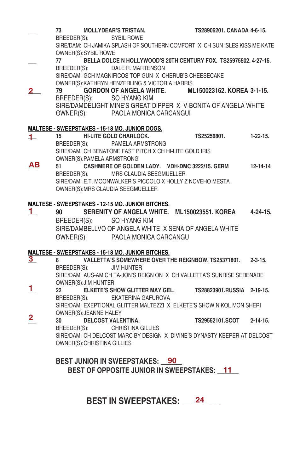**\_\_\_ 73 MOLLYDEAR'S TRISTAN. TS28906201. CANADA 4-6-15.** BREEDER(S): SYBIL ROWE SIRE/DAM: CH JAMIKA SPLASH OF SOUTHERN COMFORT X CH SUN ISLES KISS ME KATE OWNER(S):SYBIL ROWE **\_\_\_ 77 BELLA DOLCE N HOLLYWOOD'S 20TH CENTURY FOX. TS25975502. 4-27-15.** BREEDER(S): DALE R. MARTENSON SIRE/DAM: GCH MAGNIFICOS TOP GUN X CHERUB'S CHEESECAKE OWNER(S):KATHRYN HENZERLING & VICTORIA HARRIS **\_\_\_\_ 79 GORDON OF ANGELA WHITE. ML150023162. KOREA 3-1-15.** BREEDER(S): SO HYANG KIM SIRE/DAMDELIGHT MINE'S GREAT DIPPER X V-BONITA OF ANGELA WHITE OWNER(S): PAOLA MONICA CARCANGUI **MALTESE - SWEEPSTAKES - 15-18 MO. JUNIOR DOGS. \_\_\_ 15 HI-LITE GOLD CHARLOCK. TS25256801. 1-22-15.** BREEDER(S): PAMELA ARMSTRONG SIRE/DAM: CH BENATONE FAST PITCH X CH HI-LITE GOLD IRIS OWNER(S):PAMELA ARMSTRONG **\_\_\_ 51 CASHMERE OF GOLDEN LADY. VDH-DMC 3222/15. GERM 12-14-14**. BREEDER(S): MRS CLAUDIA SEEGMUELLER SIRE/DAM: E.T. MOONWALKER'S PICCOLO X HOLLY Z NOVEHO MESTA OWNER(S):MRS CLAUDIA SEEGMUELLER **MALTESE - SWEEPSTAKES - 12-15 MO. JUNIOR BITCHES. \_\_\_ 90 SERENITY OF ANGELA WHITE. ML150023551. KOREA 4-24-15.** BREEDER(S): SO HYANG KIM SIRE/DAMBELLVO OF ANGELA WHITE X SENA OF ANGELA WHITE OWNER(S): PAOLA MONICA CARCANGU **MALTESE - SWEEPSTAKES - 15-18 MO. JUNIOR BITCHES. \_\_\_ 8 VALLETTA'S SOMEWHERE OVER THE REIGNBOW. TS25371801. 2-3-15.** BREEDER(S): JIM HUNTER SIRE/DAM: AUS-AM CH TA-JON'S REIGN ON X CH VALLETTA'S SUNRISE SERENADE OWNER(S):JIM HUNTER **\_\_\_ 22 ELKETE'S SHOW GLITTER MAY GEL. TS28823901.RUSSIA 2-19-15.** BREEDER(S): EKATERINA GAFUROVA SIRE/DAM: EXEPTIONAL GLITTER MALTEZZI X ELKETE'S SHOW NIKOL MON SHERI OWNER(S):JEANNE HALEY **\_\_\_ 30 DELCOST VALENTINA. TS29552101.SCOT 2-14-15.** BREEDER(S): CHRISTINA GILLIES SIRE/DAM: CH DELCOST MARC BY DESIGN X DIVINE'S DYNASTY KEEPER AT DELCOST **2 1 AB 1 3 1 2**

**BEST JUNIOR IN SWEEPSTAKES: \_\_\_\_\_\_ 90** BEST OF OPPOSITE JUNIOR IN SWEEPSTAKES: \_<u>\_11</u>

OWNER(S):CHRISTINA GILLIES

# **BEST IN SWEEPSTAKES: \_\_\_\_\_\_\_\_\_ 24**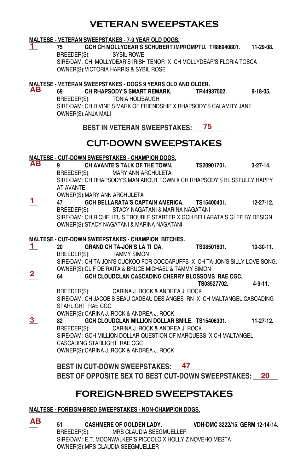## **VETERAN SWEEPSTAKES**

#### **MALTESE - VETERAN SWEEPSTAKES - 7-9 YEAR OLD DOGS.**

**1**

**\_\_\_ 75 GCH CH MOLLYDEAR'S SCHUBERT IMPROMPTU. TR86940801. 11-29-08.** BREEDER(S): SYBIL ROWE SIRE/DAM: CH MOLLYDEAR'S IRISH TENOR X CH MOLLYDEAR'S FLORIA TOSCA OWNER(S):VICTORIA HARRIS & SYBIL ROSE

#### **MALTESE - VETERAN SWEEPSTAKES - DOGS 9 YEARS OLD AND OLDER. AB**

**\_\_\_ 69 CH RHAPSODY'S SMART REMARK. TR44937502. 9-18-05.** BREEDER(S): TONIA HOLIBAUGH SIRE/DAM: CH DIVINE'S MARK OF FRIENDSHIP X RHAPSODY'S CALAMITY JANE OWNER(S):ANJA MALI

BEST IN VETERAN SWEEPSTAKES: \_\_\_ 75 \_\_\_

## **CUT-DOWN SWEEPSTAKES**

#### **MALTESE - CUT-DOWN SWEEPSTAKES - CHAMPION DOGS.**

**\_\_\_ 9 CH AVANTE'S TALK OF THE TOWN. TS20901701. 3-27-14.**  MARY ANN ARCHULETA SIRE/DAM: CH RHAPSODY'S MAN ABOUT TOWN X CH RHAPSODY'S BLISSFULLY HAPPY AT AVANTE **AB**

OWNER(S):MARY ANN ARCHULETA

**\_\_\_ 47 GCH BELLARATA'S CAPTAIN AMERICA. TS15400401. 12-27-12.** BREEDER(S): STACY NAGATANI & MARINA NAGATANI SIRE/DAM: CH RICHELIEU'S TROUBLE STARTER X GCH BELLARATA'S GLEE BY DESIGN OWNER(S):STACY NAGATANI & MARINA NAGATANI **1**

#### **MALTESE - CUT-DOWN SWEEPSTAKES - CHAMPION BITCHES.**

- **\_\_\_ 20 GRAND CH TA-JON'S LA TI DA. TS08501601. 10-30-11.** BREEDER(S): TAMMY SIMON SIRE/DAM: CH TA-JON'S CUCKOO FOR COCOAPUFFS X CH TA-JON'S SILLY LOVE SONG. OWNER(S):CLIF DE RAITA & BRUCE MICHAEL & TAMMY SIMON **1**
- **\_\_\_ 64 GCH CLOUDCLAN CASCADING CHERRY BLOSSOMS RAE CGC. 2**

 **TS03527702. 4-9-11.** BREEDER(S): CARINA J. ROCK & ANDREA J. ROCK SIRE/DAM: CH JACOB'S BEAU CADEAU DES ANGES RN X CH MALTANGEL CASCADING

STARLIGHT RAE CGC

OWNER(S):CARINA J. ROCK & ANDREA J. ROCK

**\_\_\_ 82 GCH CLOUDCLAN MILLION DOLLAR SMILE. TS15406301. 11-27-12.** BREEDER(S): CARINA J. ROCK & ANDREA J. ROCK SIRE/DAM: GCH MILLION DOLLAR QUESTION OF MARQUESS X CH MALTANGEL CASCADING STARLIGHT RAE CGC OWNER(S):CARINA J. ROCK & ANDREA J. ROCK **3**

BEST IN CUT-DOWN SWEEPSTAKES: \_\_<del>47</del> BEST OF OPPOSITE SEX TO BEST CUT-DOWN SWEEPSTAKES: \_\_20\_\_

# **FOREIGN-BRED SWEEPSTAKES**

## **MALTESE - FOREIGN-BRED SWEEPSTAKES - NON-CHAMPION DOGS.**

**\_\_\_ 51 CASHMERE OF GOLDEN LADY. VDH-DMC 3222/15. GERM 12-14-14.** MRS CLAUDIA SEEGMUELLER SIRE/DAM: E.T. MOONWALKER'S PICCOLO X HOLLY Z NOVEHO MESTA OWNER(S):MRS CLAUDIA SEEGMUELLER **AB**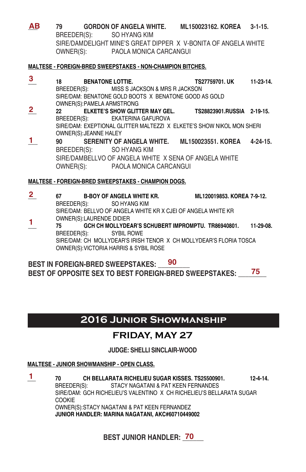**\_\_\_ 79 GORDON OF ANGELA WHITE. ML150023162. KOREA 3-1-15.** BREEDER(S): SO HYANG KIM SIRE/DAMDELIGHT MINE'S GREAT DIPPER X V-BONITA OF ANGELA WHITE OWNER(S): PAOLA MONICA CARCANGUI **AB**

#### **MALTESE - FOREIGN-BRED SWEEPSTAKES - NON-CHAMPION BITCHES.**

**\_\_\_ 18 BENATONE LOTTIE. TS27759701. UK 11-23-14.**  BREEDER(S): MISS S JACKSON & MRS R JACKSON SIRE/DAM: BENATONE GOLD BOOTS X BENATONE GOOD AS GOLD OWNER(S):PAMELA ARMSTRONG **\_\_\_ 22 ELKETE'S SHOW GLITTER MAY GEL. TS28823901.RUSSIA 2-19-15.**  BREEDER(S): EKATERINA GAFUROVA SIRE/DAM: EXEPTIONAL GLITTER MALTEZZI X ELKETE'S SHOW NIKOL MON SHERI OWNER(S):JEANNE HALEY **\_\_\_ 90 SERENITY OF ANGELA WHITE. ML150023551. KOREA 4-24-15.** BREEDER(S): SO HYANG KIM SIRE/DAMBELLVO OF ANGELA WHITE X SENA OF ANGELA WHITE OWNER(S): PAOLA MONICA CARCANGUI **3 2 1** 

## **MALTESE - FOREIGN-BRED SWEEPSTAKES - CHAMPION DOGS.**

**\_\_\_ 67 B-BOY OF ANGELA WHITE KR. ML120019853. KOREA 7-9-12.**  BREEDER(S): SO HYANG KIM SIRE/DAM: BELLVO OF ANGELA WHITE KR X CJEI OF ANGELA WHITE KR OWNER(S):LAURENDE DIDIER **\_\_\_ 75 GCH CH MOLLYDEAR'S SCHUBERT IMPROMPTU. TR86940801. 11-29-08.**  BREEDER(S): SYBIL ROWE SIRE/DAM: CH MOLLYDEAR'S IRISH TENOR X CH MOLLYDEAR'S FLORIA TOSCA OWNER(S):VICTORIA HARRIS & SYBIL ROSE **2 1**

**BEST IN FOREIGN-BRED SWEEPSTAKES: \_\_\_\_\_\_\_\_\_ 90 BEST OF OPPOSITE SEX TO BEST FOREIGN-BRED SWEEPSTAKES: \_\_\_\_\_\_\_\_ 75**

# **2016 Junior Showmanship**

## **FRIDAY, MAY 27**

## **JUDGE: SHELLI SINCLAIR-WOOD**

## **MALTESE - JUNIOR SHOWMANSHIP - OPEN CLASS.**

**1 \_\_\_ 70 CH BELLARATA RICHELIEU SUGAR KISSES. TS25500901. 12-4-14.**  BREEDER(S): STACY NAGATANI & PAT KEEN FERNANDES SIRE/DAM: GCH RICHELIEU'S VALENTINO X CH RICHELIEU'S BELLARATA SUGAR **COOKIE** OWNER(S):STACY NAGATANI & PAT KEEN FERNANDEZ **JUNIOR HANDLER: MARINA NAGATANI, AKC#60710449002**

**BEST JUNIOR HANDLER: 70**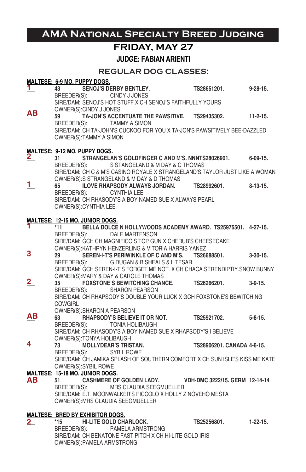# **AMA National Specialty Breed Judging**

# **FRIDAY, MAY 27**

**JUDGE: FABIAN ARIENTI**

## **REGULAR DOG CLASSES:**

|                         |                | MALTESE: 6-9 MO. PUPPY DOGS.            |                                                                                                                          |                            |                 |
|-------------------------|----------------|-----------------------------------------|--------------------------------------------------------------------------------------------------------------------------|----------------------------|-----------------|
| 1.                      | 43             |                                         | SENOJ'S DERBY BENTLEY.                                                                                                   | TS28651201.                | $9 - 28 - 15$ . |
|                         |                |                                         | BREEDER(S): CINDY J JONES                                                                                                |                            |                 |
|                         |                |                                         | SIRE/DAM: SENOJ'S HOT STUFF X CH SENOJ'S FAITHFULLY YOURS                                                                |                            |                 |
| AB.                     | 59             | OWNER(S): CINDY J JONES                 | TA-JON'S ACCENTUATE THE PAWSITIVE. TS29435302. 11-2-15.                                                                  |                            |                 |
|                         |                |                                         | BREEDER(S): TAMMY A SIMON                                                                                                |                            |                 |
|                         |                |                                         | SIRE/DAM: CH TA-JOHN'S CUCKOO FOR YOU X TA-JON'S PAWSITIVELY BEE-DAZZLED                                                 |                            |                 |
|                         |                | OWNER(S): TAMMY A SIMON                 |                                                                                                                          |                            |                 |
|                         |                |                                         |                                                                                                                          |                            |                 |
|                         |                | MALTESE: 9-12 MO. PUPPY DOGS.           |                                                                                                                          |                            |                 |
| $\mathbf{2}_{-}$        | 31             |                                         | STRANGELAN'S GOLDFINGER C AND M'S. NNNTS28026901. 6-09-15.                                                               |                            |                 |
|                         |                |                                         | BREEDER(S): S STANGELAND & M DAY & C THOMAS                                                                              |                            |                 |
|                         |                |                                         | SIRE/DAM: CH C & M'S CASINO ROYALE X STRANGELAND'S TAYLOR JUST LIKE A WOMAN<br>OWNER(S):S STRANGELAND & M DAY & D THOMAS |                            |                 |
| 1.                      | 65             |                                         | ILOVE RHAPSODY ALWAYS JORDAN.                                                                                            | TS28992601. 8-13-15.       |                 |
|                         |                |                                         | BREEDER(S): CYNTHIA LEE                                                                                                  |                            |                 |
|                         |                |                                         | SIRE/DAM: CH RHASODY'S A BOY NAMED SUE X ALWAYS PEARL                                                                    |                            |                 |
|                         |                | OWNER(S): CYNTHIA LEE                   |                                                                                                                          |                            |                 |
|                         |                |                                         |                                                                                                                          |                            |                 |
|                         |                | MALTESE: 12-15 MO. JUNIOR DOGS.         |                                                                                                                          |                            |                 |
| ı.                      | *11            |                                         | BELLA DOLCE N HOLLYWOODS ACADEMY AWARD. TS25975501. 4-27-15.<br>BREEDER(S): DALE MARTENSON                               |                            |                 |
|                         |                |                                         | SIRE/DAM: GCH CH MAGNIFICO'S TOP GUN X CHERUB'S CHEESECAKE                                                               |                            |                 |
|                         |                |                                         | OWNER(S): KATHRYN HENZERLING & VITORIA HARRIS YANEZ                                                                      |                            |                 |
| 3                       | 29             |                                         | SEREN-I-T'S PERIWINKLE OF C AND M'S. TS26688501. 3-30-15.                                                                |                            |                 |
|                         |                |                                         | BREEDER(S): G DUGAN & B.SHEALS & L TESAR                                                                                 |                            |                 |
|                         |                |                                         | SIRE/DAM: GCH SEREN-I-T'S FORGET ME NOT. X CH CHACA.SERENDIPTIY.SNOW BUNNY                                               |                            |                 |
|                         |                |                                         | OWNER(S): MARY & DAY & CAROLE THOMAS                                                                                     |                            |                 |
| $\overline{\mathbf{2}}$ | 35             |                                         | <b>FOXSTONE'S BEWITCHING CHANCE.</b>                                                                                     | TS26266201.                | $3-9-15$        |
|                         |                |                                         | BREEDER(S): SHARON PEARSON<br>SIRE/DAM: CH RHAPSODY'S DOUBLE YOUR LUCK X GCH FOXSTONE'S BEWITCHING                       |                            |                 |
|                         | <b>COWGIRL</b> |                                         |                                                                                                                          |                            |                 |
|                         |                |                                         | OWNER(S): SHARON A PEARSON                                                                                               |                            |                 |
| ΑВ                      | 63             |                                         | RHAPSODY'S BELIEVE IT OR NOT. TS25921702. 5-8-15.                                                                        |                            |                 |
|                         | BREEDER(S):    |                                         | TONIA HOLIBAUGH                                                                                                          |                            |                 |
|                         |                |                                         | SIRE/DAM: CH RHASODY'S A BOY NAMED SUE X RHAPSODY'S I BELIEVE                                                            |                            |                 |
|                         |                | OWNER(S): TONYA HOLIBAUGH               |                                                                                                                          |                            |                 |
| 4                       | 73             |                                         | <b>MOLLYDEAR'S TRISTAN.</b>                                                                                              | TS28906201. CANADA 4-6-15. |                 |
|                         | BREEDER(S):    |                                         | <b>SYBIL ROWE</b><br>SIRE/DAM: CH JAMIKA SPLASH OF SOUTHERN COMFORT X CH SUN ISLE'S KISS ME KATE                         |                            |                 |
|                         |                | OWNER(S): SYBIL ROWE                    |                                                                                                                          |                            |                 |
|                         |                | MALTESE: 15-18 MO. JUNIOR DOGS.         |                                                                                                                          |                            |                 |
| AB.                     | 51             |                                         | CASHMERE OF GOLDEN LADY. VDH-DMC 3222/15. GERM 12-14-14.                                                                 |                            |                 |
|                         |                |                                         | BREEDER(S): MRS CLAUDIA SEEGMUELLER                                                                                      |                            |                 |
|                         |                |                                         | SIRE/DAM: E.T. MOONWALKER'S PICCOLO X HOLLY Z NOVEHO MESTA                                                               |                            |                 |
|                         |                |                                         | OWNER(S): MRS CLAUDIA SEEGMUELLER                                                                                        |                            |                 |
|                         |                |                                         |                                                                                                                          |                            |                 |
| 2_                      | *15            | <b>MALTESE: BRED BY EXHIBITOR DOGS.</b> | <b>HI-LITE GOLD CHARLOCK.</b>                                                                                            | TS25256801.                | $1-22-15.$      |
|                         | BREEDER(S):    |                                         | PAMELA ARMSTRONG                                                                                                         |                            |                 |
|                         |                |                                         | SIRE/DAM: CH BENATONE FAST PITCH X CH HI-LITE GOLD IRIS                                                                  |                            |                 |

OWNER(S):PAMELA ARMSTRONG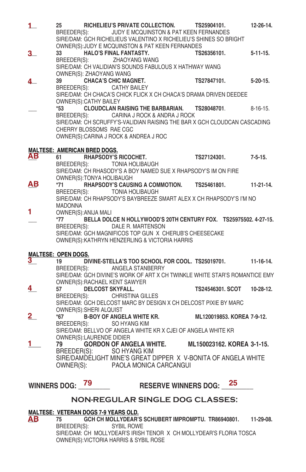| $\mathbf{1}_{-}$    | 25                                        |                                                    | RICHELIEU'S PRIVATE COLLECTION. TS25904101.<br>BREEDER(S): JUDY E MCQUINSTON & PAT KEEN FERNANDES<br>SIRE/DAM: GCH RICHELIEUS VALENTINO X RICHELIEU'S SHINES SO BRIGHT<br>OWNER(S): JUDY E MCQUINSTON & PAT KEEN FERNANDES |                            |    | $12 - 26 - 14$ . |
|---------------------|-------------------------------------------|----------------------------------------------------|----------------------------------------------------------------------------------------------------------------------------------------------------------------------------------------------------------------------------|----------------------------|----|------------------|
| 3_                  | 33<br>BREEDER(S):                         | OWNER(S): ZHAOYANG WANG                            | <b>HALO'S FINAL FANTASTY.</b><br>ZHAOYANG WANG<br>SIRE/DAM: CH VALIDIAN'S SOUNDS FABULOUS X HATHWAY WANG                                                                                                                   | TS26356101.                |    | $5 - 11 - 15.$   |
| 4                   | 39                                        |                                                    | <b>CHACA'S CHIC MAGNET.</b><br>BREEDER(S): CATHY BAILEY<br>SIRE/DAM: CH CHACA'S CHICK FLICK X CH CHACA'S DRAMA DRIVEN DEEDEE                                                                                               | TS27847101. 5-20-15.       |    |                  |
|                     | BREEDER(S):                               | OWNER(S): CATHY BAILEY<br>CHERRY BLOSSOMS RAE CGC  | *53 CLOUDCLAN RAISING THE BARBARIAN.<br>CARINA J ROCK & ANDRA J ROCK<br>SIRE/DAM: CH SCRUFFY'S-VALIDIAN RAISING THE BAR X GCH CLOUDCAN CASCADING<br>OWNER(S): CARINA J ROCK & ANDREA J ROC                                 | TS28048701. 8-16-15.       |    |                  |
| AB.                 | <b>MALTESE: AMERICAN BRED DOGS.</b><br>61 | OWNER(S): TONYA HOLIBAUGH                          | RHAPSODY'S RICOCHET.<br>BREEDER(S): TONIA HOLIBAUGH<br>SIRE/DAM: CH RHASODY'S A BOY NAMED SUE X RHAPSODY'S IM ON FIRE                                                                                                      | TS27124301. 7-5-15.        |    |                  |
| ΑВ                  | *71<br><b>MADONNA</b>                     |                                                    | RHAPSODY'S CAUSING A COMMOTION. TS25461801.<br>BREEDER(S): TONIA HOLIBAUGH<br>SIRE/DAM: CH RHAPSODY'S BAYBREEZE SMART ALEX X CH RHAPSODY'S I'M NO                                                                          |                            |    | $11-21-14.$      |
| 1.                  | $*77$                                     | OWNER(S): ANIJA MALI                               | BELLA DOLCE N HOLLYWOOD'S 20TH CENTURY FOX. TS25975502. 4-27-15.<br>BREEDER(S): DALE R. MARTENSON<br>SIRE/DAM: GCH MAGNIFICOS TOP GUN X CHERUB'S CHEESECAKE<br>OWNER(S): KATHRYN HENZERLING & VICTORIA HARRIS              |                            |    |                  |
|                     | <b>MALTESE: OPEN DOGS.</b>                |                                                    |                                                                                                                                                                                                                            |                            |    |                  |
| 3                   | 19                                        |                                                    | DIVINE-STELLA'S TOO SCHOOL FOR COOL. TS25019701. 11-16-14.<br>BREEDER(S): ANGELA STANBERRY<br>SIRE/DAM: GCH DIVINE'S WORK OF ART X CH TWINKLE WHITE STAR'S ROMANTICE EMY                                                   |                            |    |                  |
| 4                   |                                           | <b>DELCOST SKYFALL.</b><br>OWNER(S): SHERI ALQUIST | OWNER(S): RACHAEL KENT SAWYER<br>BREEDER(S): CHRISTINA GILLES<br>SIRE/DAM: GCH DELCOST MARC BY DESIGN X CH DELCOST PIXIE BY MARC                                                                                           | TS24546301. SCOT 10-28-12. |    |                  |
| $\overline{2}$      |                                           | BREEDER(S):                                        | *67 B-BOY OF ANGELA WHITE KR.<br>SO HYANG KIM<br>SIRE/DAM: BELLVO OF ANGELA WHITE KR X CJEI OF ANGELA WHITE KR                                                                                                             | ML120019853. KOREA 7-9-12. |    |                  |
| 1                   | 79                                        | OWNER(S):LAURENDE DIDIER                           | GORDON OF ANGELA WHITE. ML150023162. KOREA 3-1-15.<br>BREEDER(S): SO HYANG KIM<br>SIRE/DAMDÉLIGHT MINE'S GREAT DIPPER X V-BONITA OF ANGELA WHITE<br>OWNER(S): PAOLA MONICA CARCANGUI                                       |                            |    |                  |
| <b>WINNERS DOG:</b> |                                           | 79                                                 | <b>RESERVE WINNERS DOG:</b>                                                                                                                                                                                                |                            | 25 |                  |

## **NON-REGULAR SINGLE DOG CLASSES:**

#### **MALTESE: VETERAN DOGS 7-9 YEARS OLD.**

**GCH CH MOLLYDEAR'S SCHUBERT IMPROMPTU. TR86940801. 11-29-08.**<br>S): SYBIL ROWE BREEDER(S): SIRE/DAM: CH MOLLYDEAR'S IRISH TENOR X CH MOLLYDEAR'S FLORIA TOSCA OWNER(S):VICTORIA HARRIS & SYBIL ROSE **AB**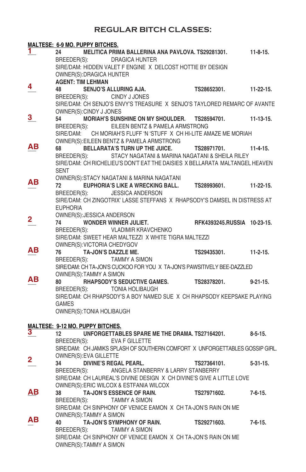## **REGULAR BITCH CLASSES:**

|                         |                 | <u> MALTESE: 6-9 MO. PUPPY BITCHES.</u> |                                                                              |                             |                  |
|-------------------------|-----------------|-----------------------------------------|------------------------------------------------------------------------------|-----------------------------|------------------|
| ı                       | 24              |                                         | MELITICA PRIMA BALLERINA ANA PAVLOVA. TS29281301.                            |                             | $11-8-15.$       |
|                         |                 |                                         | BREEDER(S): DRAGICA HUNTER                                                   |                             |                  |
|                         |                 |                                         | SIRE/DAM: HIDDEN VALET F ENGINE X DELCOST HOTTIE BY DESIGN                   |                             |                  |
|                         |                 | OWNER(S): DRAGICA HUNTER                |                                                                              |                             |                  |
|                         |                 | <b>AGENT: TIM LEHMAN</b>                |                                                                              |                             |                  |
| 4                       | 48              |                                         | <b>SENJO'S ALLURING AJA.</b>                                                 | TS28652301.                 | $11 - 22 - 15$ . |
|                         |                 |                                         | BREEDER(S): CINDY J JONES                                                    |                             |                  |
|                         |                 |                                         | SIRE/DAM: CH SENJO'S ENVY'S TREASURE X SENJO'S TAYLORED REMARC OF AVANTE     |                             |                  |
|                         |                 | OWNER(S):CINDY J JONES                  |                                                                              |                             |                  |
| 3                       | 54              |                                         | MORIAH'S SUNSHINE ON MY SHOULDER. TS28594701.                                |                             | $11-13-15.$      |
|                         |                 |                                         | BREEDER(S): EILEEN BENTZ & PAMELA ARMSTRONG                                  |                             |                  |
|                         |                 |                                         | SIRE/DAM: CH MORIAH'S FLUFF 'N 'STUFF X CH HI-LITE AMAZE ME MORIAH           |                             |                  |
|                         |                 |                                         | OWNER(S): EILEEN BENTZ & PAMELA ARMSTRONG                                    |                             |                  |
| ΑВ                      | 68              |                                         | <b>BELLARATA'S TURN UP THE JUICE.</b>                                        | TS28971701.                 | $11-4-15.$       |
|                         |                 |                                         | BREEDER(S): STACY NAGATANI & MARINA NAGATANI & SHEILA RILEY                  |                             |                  |
|                         |                 |                                         | SIRE/DAM: CH RICHELIEU'S DON'T EAT THE DAISIES X BELLARATA MALTANGEL HEAVEN  |                             |                  |
|                         | <b>SENT</b>     |                                         |                                                                              |                             |                  |
|                         |                 |                                         | OWNER(S):STACY NAGATANI & MARINA NAGATANI                                    |                             |                  |
| ΑВ                      | 72              |                                         | EUPHORIA'S LIKE A WRECKING BALL.                                             | TS28993601.                 | 11-22-15.        |
|                         |                 |                                         | BREEDER(S): JESSICA ANDERSON                                                 |                             |                  |
|                         |                 |                                         | SIRE/DAM: CH ZINGOTRIX' LASSE STEFFANS X RHAPSODY'S DAMSEL IN DISTRESS AT    |                             |                  |
|                         | <b>EUPHORIA</b> |                                         |                                                                              |                             |                  |
|                         |                 | OWNER(S): JESSICA ANDERSON              |                                                                              |                             |                  |
| 2                       | 74              |                                         | WONDER WINNER JULIET.                                                        | RFK4393245.RUSSIA 10-23-15. |                  |
|                         |                 |                                         | BREEDER(S): VLADIMIR KRAVCHENKO                                              |                             |                  |
|                         |                 |                                         | SIRE/DAM: SWEET HEAR MALTEZZI X WHITE TIGRA MALTEZZI                         |                             |                  |
|                         |                 |                                         | OWNER(S): VICTORIA CHEDYGOV                                                  |                             |                  |
| ΑВ                      | 76              |                                         | TA-JON'S DAZZLE ME.                                                          | TS29435301. 11-2-15.        |                  |
|                         | BREEDER(S):     |                                         | TAMMY A SIMON                                                                |                             |                  |
|                         |                 |                                         | SIRE/DAM: CH TA-JON'S CUCKOO FOR YOU X TA-JON'S PAWSITIVELY BEE-DAZZLED      |                             |                  |
|                         |                 | OWNER(S): TAMMY A SIMON                 |                                                                              |                             |                  |
| ΑВ                      | 80              |                                         |                                                                              |                             | $9 - 21 - 15$ .  |
|                         | BREEDER(S):     |                                         | <b>TONIA HOLIBAUGH</b>                                                       |                             |                  |
|                         |                 |                                         | SIRE/DAM: CH RHAPSODY'S A BOY NAMED SUE X CH RHAPSODY KEEPSAKE PLAYING       |                             |                  |
|                         | <b>GAMES</b>    |                                         |                                                                              |                             |                  |
|                         |                 | OWNER(S): TONIA HOLIBAUGH               |                                                                              |                             |                  |
|                         |                 |                                         |                                                                              |                             |                  |
|                         |                 | MALTESE: 9-12 MO. PUPPY BITCHES.        |                                                                              |                             |                  |
| 3                       | 12              |                                         | UNFORGETTABLES SPARE ME THE DRAMA. TS27164201. 8-5-15.                       |                             |                  |
|                         | BREEDER(S):     |                                         | <b>EVA F GILLETTE</b>                                                        |                             |                  |
|                         |                 |                                         | SIRE/DAM: CH JAMIKS SPLASH OF SOUTHERN COMFORT X UNFORGETTABLES GOSSIP GIRL. |                             |                  |
| $\overline{\mathbf{c}}$ |                 | OWNER(S): EVA GILLETTE                  |                                                                              |                             |                  |
|                         | 34              |                                         | <b>DIVINE'S REGAL PEARL.</b>                                                 | TS27364101.                 | $5-31-15.$       |
|                         | BREEDER(S):     |                                         | ANGELA STANBERRY & LARRY STANBERRY                                           |                             |                  |
|                         |                 |                                         | SIRE/DAM: CH LAUREAL'S DIVINE DESIGN X CH DIVINE'S GIVE A LITTLE LOVE        |                             |                  |
|                         |                 |                                         | OWNER(S): ERIC WILCOX & ESTFANIA WILCOX                                      |                             |                  |
| <u>дв</u>               | 38              |                                         | TA-JON'S ESSENCE OF RAIN.                                                    | TS27971602.                 | 7-6-15.          |
|                         | BREEDER(S):     |                                         | TAMMY A SIMON                                                                |                             |                  |
|                         |                 |                                         | SIRE/DAM: CH SINPHONY OF VENICE EAMON X CH TA-JON'S RAIN ON ME               |                             |                  |
| ΑВ                      |                 | OWNER(S): TAMMY A SIMON                 |                                                                              |                             |                  |
|                         | 40              |                                         | TA-JON'S SYMPHONY OF RAIN.                                                   | TS29271603.                 | $7 - 6 - 15.$    |
|                         | BREEDER(S):     |                                         | <b>TAMMY A SIMON</b>                                                         |                             |                  |
|                         |                 |                                         | SIRE/DAM: CH SINPHONY OF VENICE EAMON X CH TA-JON'S RAIN ON ME               |                             |                  |
|                         |                 | OWNER(S): TAMMY A SIMON                 |                                                                              |                             |                  |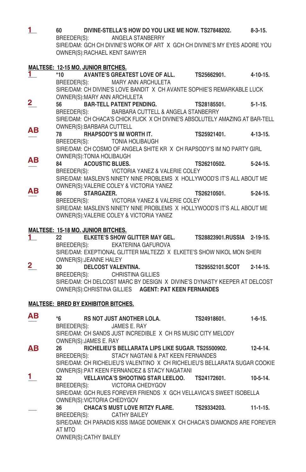| 1                       |                                            | DIVINE-STELLA'S HOW DO YOU LIKE ME NOW. TS27848202. 8-3-15.                                                           |                          |                |
|-------------------------|--------------------------------------------|-----------------------------------------------------------------------------------------------------------------------|--------------------------|----------------|
|                         | BREEDER(S):                                | ANGELA STANBERRY<br>SIRE/DAM: GCH CH DIVINE'S WORK OF ART X GCH CH DIVINE'S MY EYES ADORE YOU                         |                          |                |
|                         | OWNER(S): RACHAEL KENT SAWYER              |                                                                                                                       |                          |                |
|                         |                                            |                                                                                                                       |                          |                |
|                         | <u>MALTESE: 12-15 MO. JUNIOR BITCHES.</u>  |                                                                                                                       |                          |                |
| 1.                      | *10                                        | AVANTE'S GREATEST LOVE OF ALL. TS25662901. 4-10-15.                                                                   |                          |                |
|                         | BREEDER(S): MARY ANN ARCHULETA             | SIRE/DAM: CH DIVINE'S LOVE BANDIT X CH AVANTE SOPHIE'S REMARKABLE LUCK                                                |                          |                |
|                         | OWNER(S): MARY ANN ARCHULETA               |                                                                                                                       |                          |                |
| $\overline{2}$          | 56                                         | <b>BAR-TELL PATENT PENDING.</b>                                                                                       | TS28185501. 5-1-15.      |                |
|                         | BREEDER(S):                                | BARBARA CUTTELL & ANGELA STANBERRY                                                                                    |                          |                |
|                         |                                            | SIRE/DAM: CH CHACA'S CHICK FLICK X CH DIVINE'S ABSOLUTELY AMAZING AT BAR-TELL                                         |                          |                |
|                         | OWNER(S): BARBARA CUTTELL                  |                                                                                                                       |                          |                |
| ΑВ                      |                                            | 78 RHAPSODY'S IM WORTH IT. TS25921401. 4-13-15.                                                                       |                          |                |
|                         | BREEDER(S): TONIA HOLIBAUGH                |                                                                                                                       |                          |                |
|                         |                                            | SIRE/DAM: CH COSMO OF ANGELA SHITE KR X CH RAPSODY'S IM NO PARTY GIRL                                                 |                          |                |
| ΑВ                      | OWNER(S): TONIA HOLIBAUGH                  |                                                                                                                       |                          |                |
|                         | <b>ACOUSTIC BLUES.</b><br>84 — 10          |                                                                                                                       | TS26210502. 5-24-15.     |                |
|                         |                                            | BREEDER(S): VICTORIA YANEZ & VALERIE COLEY<br>SIRE/DAM: MASLEN'S NINETY NINE PROBLEMS X HOLLYWOOD'S IT'S ALL ABOUT ME |                          |                |
|                         | OWNER(S): VALERIE COLEY & VICTORIA YANEZ   |                                                                                                                       |                          |                |
| ΑВ                      | 86<br><b>STARGAZER.</b>                    |                                                                                                                       | TS26210501. 5-24-15.     |                |
|                         |                                            | BREEDER(S): VICTORIA YANEZ & VALERIE COLEY                                                                            |                          |                |
|                         |                                            | SIRE/DAM: MASLEN'S NINETY NINE PROBLEMS X HOLLYWOOD'S IT'S ALL ABOUT ME                                               |                          |                |
|                         | OWNER(S): VALERIE COLEY & VICTORIA YANEZ   |                                                                                                                       |                          |                |
|                         |                                            |                                                                                                                       |                          |                |
|                         | <b>MALTESE: 15-18 MO. JUNIOR BITCHES.</b>  |                                                                                                                       |                          |                |
| 1.                      | 22<br>BREEDER(S): EKATERINA GAFUROVA       | ELKETE'S SHOW GLITTER MAY GEL. TS28823901.RUSSIA 2-19-15.                                                             |                          |                |
|                         |                                            | SIRE/DAM: EXEPTIONAL GLITTER MALTEZZI X ELKETE'S SHOW NIKOL MON SHERI                                                 |                          |                |
|                         | OWNER(S): JEANNE HALEY                     |                                                                                                                       |                          |                |
| $\overline{\mathbf{2}}$ | DELCOST VALENTINA.<br>30                   |                                                                                                                       | TS29552101.SCOT 2-14-15. |                |
|                         | BREEDER(S): CHRISTINA GILLIES              |                                                                                                                       |                          |                |
|                         |                                            | SIRE/DAM: CH DELCOST MARC BY DESIGN X DIVINE'S DYNASTY KEEPER AT DELCOST                                              |                          |                |
|                         |                                            | OWNER(S): CHRISTINA GILLIES AGENT: PAT KEEN FERNANDES                                                                 |                          |                |
|                         |                                            |                                                                                                                       |                          |                |
|                         | <b>MALTESE: BRED BY EXHIBITOR BITCHES.</b> |                                                                                                                       |                          |                |
| ΑВ                      |                                            | *6 RS NOT JUST ANOTHER LOLA. TS24918601. 1-6-15.                                                                      |                          |                |
|                         | BREEDER(S): JAMES E. RAY                   |                                                                                                                       |                          |                |
|                         |                                            | SIRE/DAM: CH SANDS JUST INCREDIBLE X CH RS MUSIC CITY MELODY                                                          |                          |                |
|                         | OWNER(S): JAMES E. RAY                     |                                                                                                                       |                          |                |
| ΔВ                      | 26                                         | RICHELIEU'S BELLARATA LIPS LIKE SUGAR. TS25500902.                                                                    |                          | $12 - 4 - 14$  |
|                         |                                            | BREEDER(S): STACY NAGTANI & PAT KEEN FERNANDES                                                                        |                          |                |
|                         |                                            | SIRE/DAM: CH RICHELIEU'S VALENTINO X CH RICHELIEU'S BELLARATA SUGAR COOKIE                                            |                          |                |
| 1.                      |                                            | OWNER(S): PAT KEEN FERNANDEZ & STACY NAGATANI                                                                         |                          |                |
|                         | 32<br>BREEDER(S):                          | VELLAVICA'S SHOOTING STAR LEELOO. TS24172601.<br><b>VICTORIA CHEDYGOV</b>                                             |                          | $10 - 5 - 14.$ |
|                         |                                            | SIRE/DAM: GCH RUES FOREVER FRIENDS X GCH VELLAVICA'S SWEET ISOBELLA                                                   |                          |                |
|                         | OWNER(S): VICTORIA CHEDYGOV                |                                                                                                                       |                          |                |
|                         | 36                                         | <b>CHACA'S MUST LOVE RITZY FLARE.</b>                                                                                 | TS29334203.              | $11 - 1 - 15.$ |
|                         | BREEDER(S):                                | <b>CATHY BAILEY</b>                                                                                                   |                          |                |
|                         |                                            | SIRE/DAM: CH PARADIS KISS IMAGE DOMENIK X CH CHACA'S DIAMONDS ARE FOREVER                                             |                          |                |
|                         | AT MTO                                     |                                                                                                                       |                          |                |
|                         | OWNER(S): CATHY BAILEY                     |                                                                                                                       |                          |                |
|                         |                                            |                                                                                                                       |                          |                |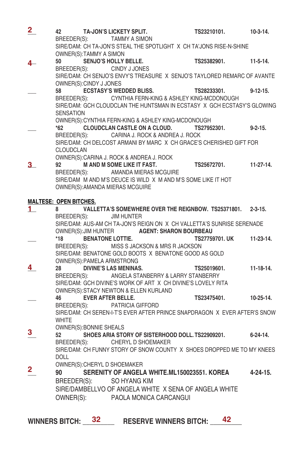| $\overline{\mathbf{2}}$ |                               |                         | 42 TA-JON'S LICKETY SPLIT.<br>BREEDER(S): TAMMY A SIMON<br>SIDE/DAM: QUITA JOURE T               | TS23210101.              | $10-3-14.$      |
|-------------------------|-------------------------------|-------------------------|--------------------------------------------------------------------------------------------------|--------------------------|-----------------|
|                         |                               | OWNER(S):TAMMY A SIMON  | SIRE/DAM: CH TA-JON'S STEAL THE SPOTLIGHT X CH TA'JONS RISE-N-SHINE                              |                          |                 |
| 4                       |                               |                         | TS25382901.<br>50 SENJO'S HOLLY BELLE.                                                           |                          | $11-5-14.$      |
|                         |                               |                         | BREEDER(S): CINDY J JONES                                                                        |                          |                 |
|                         |                               | OWNER(S): CINDY J JONES | SIRE/DAM: CH SENJO'S ENVY'S TREASURE X SENJO'S TAYLORED REMARC OF AVANTE                         |                          |                 |
|                         |                               |                         | 58 CSTASY'S WEDDED BLISS. TS28233301.                                                            |                          | $9 - 12 - 15$ . |
|                         |                               |                         | BREEDER(S): CYNTHIA FERN-KING & ASHLEY KING-MCDONOUGH                                            |                          |                 |
|                         | SENSATION                     |                         | SIRE/DAM: GCH CLOUDCLAN THE HUNTSMAN IN ECSTASY X GCH ECSTASY'S GLOWING                          |                          |                 |
|                         |                               |                         | OWNER(S): CYNTHIA FERN-KING & ASHLEY KING-MCDONOUGH                                              |                          |                 |
|                         | $*62$                         |                         | CLOUDCLAN CASTLE ON A CLOUD. TS27952301. 9-2-15.                                                 |                          |                 |
|                         |                               |                         | BREEDER(S): CARINA J. ROCK & ANDREA J. ROCK                                                      |                          |                 |
|                         |                               |                         | SIRE/DAM: CH DELCOST ARMANI BY MARC X CH GRACE'S CHERISHED GIFT FOR                              |                          |                 |
|                         | CLOUDCLAN                     |                         |                                                                                                  |                          |                 |
|                         |                               |                         | OWNER(S): CARINA J. ROCK & ANDREA J. ROCK                                                        |                          |                 |
| 3.                      |                               |                         | 92 M AND M SOME LIKE IT FAST.                                                                    | TS25672701. 11-27-14.    |                 |
|                         |                               |                         | BREEDER(S): AMANDA MIERAS MCGUIRE                                                                |                          |                 |
|                         |                               |                         | SIRE/DAM M AND M'S DEUCE IS WILD X M AND M'S SOME LIKE IT HOT                                    |                          |                 |
|                         |                               |                         | OWNER(S): AMANDA MIERAS MCGUIRE                                                                  |                          |                 |
|                         | <b>MALTESE: OPEN BITCHES.</b> |                         |                                                                                                  |                          |                 |
| 1.                      | 8 —                           |                         | VALLETTA'S SOMEWHERE OVER THE REIGNBOW. TS25371801. 2-3-15.                                      |                          |                 |
|                         |                               |                         | BREEDER(S): JIM HUNTER                                                                           |                          |                 |
|                         |                               |                         | SIRE/DAM: AUS-AM CH TA-JON'S REIGN ON X CH VALLETTA'S SUNRISE SERENADE                           |                          |                 |
|                         |                               |                         | OWNER(S): JIM HUNTER <b>AGENT: SHARON BOURBEAU</b>                                               |                          |                 |
|                         | $*18$                         |                         | <b>BENATONE LOTTIE.</b>                                                                          | TS27759701. UK 11-23-14. |                 |
|                         |                               |                         | BREEDER(S): MISS S JACKSON & MRS R JACKSON                                                       |                          |                 |
|                         |                               |                         | SIRE/DAM: BENATONE GOLD BOOTS X BENATONE GOOD AS GOLD                                            |                          |                 |
| 4                       |                               |                         | OWNER(S): PAMELA ARMSTRONG<br>OWNER(S): PAMELA ARMSTRONG<br>28 DIVINE'S LAS MENINAS. TS25019601. |                          | 11-18-14.       |
|                         |                               |                         | BREEDER(S): ANGELA STANBERRY & LARRY STANBERRY                                                   |                          |                 |
|                         |                               |                         | SIRE/DAM: GCH DIVINE'S WORK OF ART X CH DIVINE'S LOVELY RITA                                     |                          |                 |
|                         |                               |                         | OWNER(S): STACY NEWTON & ELLEN KURLAND                                                           |                          |                 |
|                         |                               |                         | 46 EVER AFTER BELLE.                                                                             | TS23475401. 10-25-14.    |                 |
|                         |                               |                         | BREEDER(S): PATRICIA GIFFORD                                                                     |                          |                 |
|                         |                               |                         | SIRE/DAM: CH SEREN-I-T'S EVER AFTER PRINCE SNAPDRAGON X EVER AFTER'S SNOW                        |                          |                 |
|                         | WHITE                         |                         |                                                                                                  |                          |                 |
| 3                       |                               | OWNER(S): BONNIE SHEALS |                                                                                                  |                          |                 |
|                         |                               |                         | SHOES ARIA STORY OF SISTERHOOD DOLL. TS22909201. 6-24-14.<br>CHERYL D SHOEMAKER                  |                          |                 |
|                         | BREEDER(S):                   |                         | SIRE/DAM: CH FUNNY STORY OF SNOW COUNTY X SHOES DROPPED ME TO MY KNEES                           |                          |                 |
|                         | <b>DOLL</b>                   |                         |                                                                                                  |                          |                 |
|                         |                               |                         | OWNER(S): CHERYL D SHOEMAKER                                                                     |                          |                 |
| $\overline{\mathbf{2}}$ |                               |                         | 90 SERENITY OF ANGELA WHITE.ML150023551. KOREA 4-24-15.                                          |                          |                 |
|                         |                               |                         | BREEDER(S): SO HYANG KIM                                                                         |                          |                 |
|                         |                               |                         | SIRE/DAMBELLVO OF ANGELA WHITE X SENA OF ANGELA WHITE                                            |                          |                 |
|                         |                               |                         | OWNER(S): PAOLA MONICA CARCANGUI                                                                 |                          |                 |
|                         |                               |                         |                                                                                                  |                          |                 |
|                         |                               |                         |                                                                                                  |                          |                 |

WINNERS BITCH:  $\frac{32}{42}$  RESERVE WINNERS BITCH:  $\frac{42}{42}$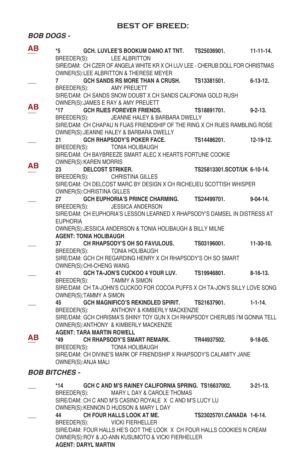## **BEST OF BREED:**

*BOB DOGS -* 

| ΑВ | *5                   |                                  | GCH. LUVLEE'S BOOKUM DANO AT TNT. TS25036901.                                                                            |                             | $11 - 11 - 14.$ |
|----|----------------------|----------------------------------|--------------------------------------------------------------------------------------------------------------------------|-----------------------------|-----------------|
|    | BREEDER(S):          |                                  | <b>LEE ALBRITTON</b><br>SIRE/DAM: CH CZER OF ANGELA WHITE KR X CH LUV LEE - CHERUB DOLL FOR CHRISTMAS                    |                             |                 |
|    |                      |                                  | OWNER(S):LEE ALBRITTON & THERESE MEYER                                                                                   |                             |                 |
|    | 7                    |                                  | GCH SANDS RS MORE THAN A CRUSH. TS13381501.                                                                              |                             | $6 - 13 - 12$ . |
|    | BREEDER(S):          |                                  | AMY PREUETT<br>SIRE/DAM: CH SANDS SNOW DOUBT X CH SANDS CALIFONIA GOLD RUSH                                              |                             |                 |
| ΑВ |                      |                                  | OWNER(S): JAMES E RAY & AMY PREUETT                                                                                      |                             |                 |
|    | $*17$                |                                  | GCH RIJES FOREVER FRIENDS. TS18891701.                                                                                   |                             | $9 - 2 - 13$ .  |
|    |                      |                                  | BREEDER(S): JEANNE HALEY & BARBARA DWELLY<br>SIRE/DAM: CH CHAPAU N FIJAS FRIENDSHIP OF THE RING X CH RIJES RAMBLING ROSE |                             |                 |
|    |                      |                                  | OWNER(S): JEANNE HALEY & BARBARA DWELLY                                                                                  |                             |                 |
|    | 21                   |                                  | GCH RHAPSODY'S POKER FACE.                                                                                               | TS14486201.                 | $12-19-12.$     |
|    |                      |                                  | BREEDER(S): TONIA HOLIBAUGH                                                                                              |                             |                 |
|    |                      | OWNER(S): KAREN MORRIS           | SIRE/DAM: CH BAYBREEZE SMART ALEC X HEARTS FORTUNE COOKIE                                                                |                             |                 |
| ΑВ | 23                   | <b>DELCOST STRIKER.</b>          |                                                                                                                          | TS25813301.SCOT/UK 6-10-14. |                 |
|    |                      |                                  | BREEDER(S): CHRISTINA GILLES                                                                                             |                             |                 |
|    |                      |                                  | SIRE/DAM: CH DELCOST MARC BY DESIGN X CH RICHELIEU SCOTTISH WHISPER                                                      |                             |                 |
|    |                      | OWNER(S): CHRISTINA GILLES       |                                                                                                                          |                             |                 |
|    | 27<br>BREEDER(S):    |                                  | GCH EUPHORIA'S PRINCE CHARMING. TS24499701.<br><b>JESSICA ANDERSON</b>                                                   |                             | $9 - 04 - 14$ . |
|    |                      |                                  | SIRE/DAM: CH EUPHORIA'S LESSON LEARNED X RHAPSODY'S DAMSEL IN DISTRESS AT                                                |                             |                 |
|    | <b>EUPHORIA</b>      |                                  |                                                                                                                          |                             |                 |
|    |                      |                                  | OWNER(S): JESSICA ANDERSON & TONIA HOLIBAUGH & BILLY MILNE                                                               |                             |                 |
|    |                      | <b>AGENT: TONIA HOLIBAUGH</b>    |                                                                                                                          |                             |                 |
|    | 37                   |                                  | CH RHAPSODY'S OH SO FAVULOUS. TS03196001. 11-30-10.<br>BREEDER(S): TONIA HOLIBAUGH                                       |                             |                 |
|    |                      |                                  | SIRE/DAM: GCH CH REGARDING HENRY X CH RHAPSODY'S OH SO SMART                                                             |                             |                 |
|    |                      | OWNER(S): CHI-CHENG WANG         |                                                                                                                          |                             |                 |
|    | 41                   |                                  | GCH TA-JON'S CUCKOO 4 YOUR LUV. TS19946801.                                                                              |                             | $8-16-13$       |
|    | BREEDER(S):          |                                  | TAMMY A SIMON                                                                                                            |                             |                 |
|    |                      |                                  | SIRE/DAM: CH TA-JOHN'S CUCKOO FOR COCOA PUFFS X CH TA-JON'S SILLY LOVE SONG                                              |                             |                 |
|    | 45                   | OWNER(S): TAMMY A SIMON          | GCH MAGNIFICO'S REKINDLED SPIRIT. TS21637901.                                                                            |                             | $1 - 1 - 14.$   |
|    | BREEDER(S):          |                                  | ANTHONY & KIMBERLY MACKENZIE                                                                                             |                             |                 |
|    |                      |                                  | SIRE/DAM: GCH CHRISMA'S SHINY TOY GUN X CH RHAPSODY CHERUBS I'M GONNA TELL                                               |                             |                 |
|    |                      |                                  | OWNER(S): ANTHONY & KIMBERLY MACKENZIE                                                                                   |                             |                 |
| ΑВ |                      | <b>AGENT: TARA MARTIN ROWELL</b> |                                                                                                                          |                             |                 |
|    |                      |                                  | BREEDER(S): TONIA HOLIBAUGH                                                                                              |                             | $9-18-05.$      |
|    |                      |                                  | SIRE/DAM: CH DIVINE'S MARK OF FRIENDSHIP X RHAPSODY'S CALAMITY JANE                                                      |                             |                 |
|    |                      | OWNER(S): ANJA MALI              |                                                                                                                          |                             |                 |
|    | <b>BOB BITCHES -</b> |                                  |                                                                                                                          |                             |                 |
|    | $*14$                |                                  | GCH C AND M'S RAINEY CALIFORNIA SPRING. TS16637002.                                                                      |                             | $3 - 21 - 13$ . |
|    | BREEDER(S):          |                                  | MARY L DAY & CAROLE THOMAS                                                                                               |                             |                 |
|    |                      |                                  | SIRE/DAM: CH C AND M'S CASINO ROYALE X C AND M'S LUCY LU                                                                 |                             |                 |
|    |                      |                                  | OWNER(S): KENNON D HUDSON & MARY L DAY                                                                                   |                             |                 |
|    | 44                   |                                  | CH FOUR HALLS LOOK AT ME.                                                                                                | TS23025701.CANADA 1-6-14.   |                 |
|    | BREEDER(S):          |                                  | <b>VICKI FIERHELLER</b><br>SIRE/DAM: FOUR HALLS HE'S GOT THE LOOK X CH FOUR HALLS COOKIES N CREAM                        |                             |                 |
|    |                      |                                  | OWNER(S):ROY & JO-ANN KUSUMOTO & VICKI FIERHELLER                                                                        |                             |                 |
|    |                      | <b>AGENT: DARYL MARTIN</b>       |                                                                                                                          |                             |                 |